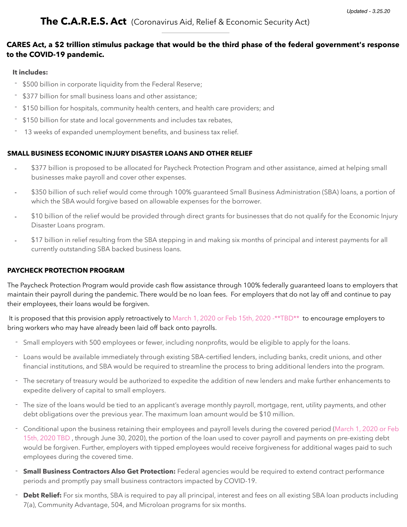## **CARES Act, a \$2 trillion stimulus package that would be the third phase of the federal government's response to the COVID-19 pandemic.**

#### **It includes:**

- \$500 billion in corporate liquidity from the Federal Reserve;
- \$377 billion for small business loans and other assistance;
- \$150 billion for hospitals, community health centers, and health care providers; and
- \$150 billion for state and local governments and includes tax rebates,
- 13 weeks of expanded unemployment benefits, and business tax relief.

## **SMALL BUSINESS ECONOMIC INJURY DISASTER LOANS AND OTHER RELIEF**

- \$377 billion is proposed to be allocated for Paycheck Protection Program and other assistance, aimed at helping small businesses make payroll and cover other expenses.
- \$350 billion of such relief would come through 100% guaranteed Small Business Administration (SBA) loans, a portion of which the SBA would forgive based on allowable expenses for the borrower.
- \$10 billion of the relief would be provided through direct grants for businesses that do not qualify for the Economic Injury Disaster Loans program.
- \$17 billion in relief resulting from the SBA stepping in and making six months of principal and interest payments for all currently outstanding SBA backed business loans.

## **PAYCHECK PROTECTION PROGRAM**

The Paycheck Protection Program would provide cash flow assistance through 100% federally guaranteed loans to employers that maintain their payroll during the pandemic. There would be no loan fees. For employers that do not lay off and continue to pay their employees, their loans would be forgiven.

It is proposed that this provision apply retroactively to March 1, 2020 or Feb 15th, 2020 -\*\*TBD\*\* to encourage employers to bring workers who may have already been laid off back onto payrolls.

- Small employers with 500 employees or fewer, including nonprofits, would be eligible to apply for the loans.
- Loans would be available immediately through existing SBA-certified lenders, including banks, credit unions, and other financial institutions, and SBA would be required to streamline the process to bring additional lenders into the program.
- The secretary of treasury would be authorized to expedite the addition of new lenders and make further enhancements to expedite delivery of capital to small employers.
- The size of the loans would be tied to an applicant's average monthly payroll, mortgage, rent, utility payments, and other debt obligations over the previous year. The maximum loan amount would be \$10 million.
- Conditional upon the business retaining their employees and payroll levels during the covered period (March 1, 2020 or Feb 15th, 2020 TBD , through June 30, 2020), the portion of the loan used to cover payroll and payments on pre-existing debt would be forgiven. Further, employers with tipped employees would receive forgiveness for additional wages paid to such employees during the covered time.
- **Small Business Contractors Also Get Protection:** Federal agencies would be required to extend contract performance periods and promptly pay small business contractors impacted by COVID-19.
- **Debt Relief:** For six months, SBA is required to pay all principal, interest and fees on all existing SBA loan products including 7(a), Community Advantage, 504, and Microloan programs for six months.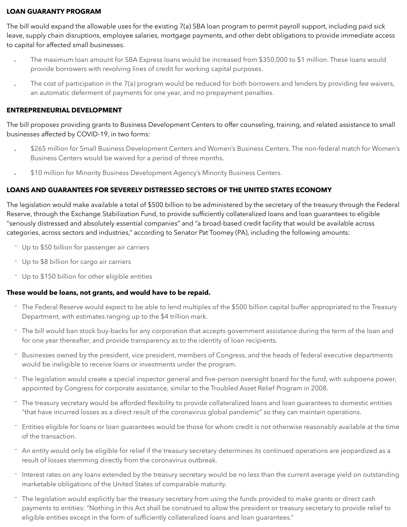#### **LOAN GUARANTY PROGRAM**

The bill would expand the allowable uses for the existing 7(a) SBA loan program to permit payroll support, including paid sick leave, supply chain disruptions, employee salaries, mortgage payments, and other debt obligations to provide immediate access to capital for affected small businesses.

- The maximum loan amount for SBA Express loans would be increased from \$350,000 to \$1 million. These loans would provide borrowers with revolving lines of credit for working capital purposes.
- The cost of participation in the 7(a) program would be reduced for both borrowers and lenders by providing fee waivers, an automatic deferment of payments for one year, and no prepayment penalties.

#### **ENTREPRENEURIAL DEVELOPMENT**

The bill proposes providing grants to Business Development Centers to offer counseling, training, and related assistance to small businesses affected by COVID-19, in two forms:

- \$265 million for Small Business Development Centers and Women's Business Centers. The non-federal match for Women's Business Centers would be waived for a period of three months.
- \$10 million for Minority Business Development Agency's Minority Business Centers.

## **LOANS AND GUARANTEES FOR SEVERELY DISTRESSED SECTORS OF THE UNITED STATES ECONOMY**

The legislation would make available a total of \$500 billion to be administered by the secretary of the treasury through the Federal Reserve, through the Exchange Stabilization Fund, to provide sufficiently collateralized loans and loan guarantees to eligible "seriously distressed and absolutely essential companies" and "a broad-based credit facility that would be available across categories, across sectors and industries," according to Senator Pat Toomey (PA), including the following amounts:

- Up to \$50 billion for passenger air carriers
- Up to \$8 billion for cargo air carriers
- Up to \$150 billion for other eligible entities

#### **These would be loans, not grants, and would have to be repaid.**

- The Federal Reserve would expect to be able to lend multiples of the \$500 billion capital buffer appropriated to the Treasury Department, with estimates ranging up to the \$4 trillion mark.
- The bill would ban stock buy-backs for any corporation that accepts government assistance during the term of the loan and for one year thereafter, and provide transparency as to the identity of loan recipients.
- Businesses owned by the president, vice president, members of Congress, and the heads of federal executive departments would be ineligible to receive loans or investments under the program.
- The legislation would create a special inspector general and five-person oversight board for the fund, with subpoena power, appointed by Congress for corporate assistance, similar to the Troubled Asset Relief Program in 2008.
- The treasury secretary would be afforded flexibility to provide collateralized loans and loan guarantees to domestic entities "that have incurred losses as a direct result of the coronavirus global pandemic" so they can maintain operations.
- Entities eligible for loans or loan guarantees would be those for whom credit is not otherwise reasonably available at the time of the transaction.
- An entity would only be eligible for relief if the treasury secretary determines its continued operations are jeopardized as a result of losses stemming directly from the coronavirus outbreak.
- Interest rates on any loans extended by the treasury secretary would be no less than the current average yield on outstanding marketable obligations of the United States of comparable maturity.
- The legislation would explicitly bar the treasury secretary from using the funds provided to make grants or direct cash payments to entities: "Nothing in this Act shall be construed to allow the president or treasury secretary to provide relief to eligible entities except in the form of sufficiently collateralized loans and loan guarantees."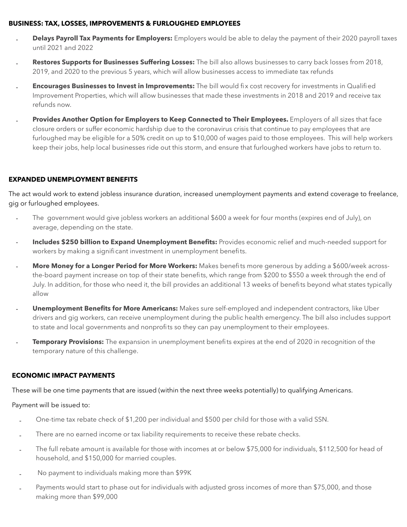#### **BUSINESS: TAX, LOSSES, IMPROVEMENTS & FURLOUGHED EMPLOYEES**

- **Delays Payroll Tax Payments for Employers:** Employers would be able to delay the payment of their 2020 payroll taxes until 2021 and 2022
- Restores Supports for Businesses Suffering Losses: The bill also allows businesses to carry back losses from 2018, 2019, and 2020 to the previous 5 years, which will allow businesses access to immediate tax refunds
- **Encourages Businesses to Invest in Improvements:** The bill would fix cost recovery for investments in Qualified Improvement Properties, which will allow businesses that made these investments in 2018 and 2019 and receive tax refunds now.
- Provides Another Option for Employers to Keep Connected to Their Employees. Employers of all sizes that face closure orders or suffer economic hardship due to the coronavirus crisis that continue to pay employees that are furloughed may be eligible for a 50% credit on up to \$10,000 of wages paid to those employees. This will help workers keep their jobs, help local businesses ride out this storm, and ensure that furloughed workers have jobs to return to.

## **EXPANDED UNEMPLOYMENT BENEFITS**

The act would work to extend jobless insurance duration, increased unemployment payments and extend coverage to freelance, gig or furloughed employees.

- The government would give jobless workers an additional \$600 a week for four months (expires end of July), on average, depending on the state.
- Includes \$250 billion to Expand Unemployment Benefits: Provides economic relief and much-needed support for workers by making a significant investment in unemployment benefits.
- More Money for a Longer Period for More Workers: Makes benefits more generous by adding a \$600/week acrossthe-board payment increase on top of their state benefits, which range from \$200 to \$550 a week through the end of July. In addition, for those who need it, the bill provides an additional 13 weeks of benefits beyond what states typically allow
- **Unemployment Benefits for More Americans:** Makes sure self-employed and independent contractors, like Uber drivers and gig workers, can receive unemployment during the public health emergency. The bill also includes support to state and local governments and nonprofits so they can pay unemployment to their employees.
- **Temporary Provisions:** The expansion in unemployment benefits expires at the end of 2020 in recognition of the temporary nature of this challenge.

## **ECONOMIC IMPACT PAYMENTS**

These will be one time payments that are issued (within the next three weeks potentially) to qualifying Americans.

#### Payment will be issued to:

- One-time tax rebate check of \$1,200 per individual and \$500 per child for those with a valid SSN.
- There are no earned income or tax liability requirements to receive these rebate checks.
- The full rebate amount is available for those with incomes at or below \$75,000 for individuals, \$112,500 for head of household, and \$150,000 for married couples.
- No payment to individuals making more than \$99K
- Payments would start to phase out for individuals with adjusted gross incomes of more than \$75,000, and those making more than \$99,000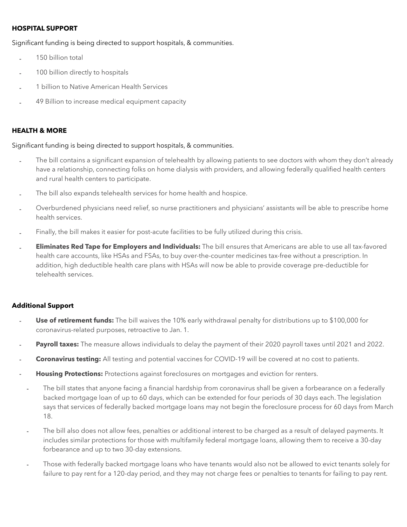#### **HOSPITAL SUPPORT**

Significant funding is being directed to support hospitals, & communities.

- 150 billion total
- 100 billion directly to hospitals
- 1 billion to Native American Health Services
- 49 Billion to increase medical equipment capacity

#### **HEALTH & MORE**

Significant funding is being directed to support hospitals, & communities.

- The bill contains a significant expansion of telehealth by allowing patients to see doctors with whom they don't already have a relationship, connecting folks on home dialysis with providers, and allowing federally qualified health centers and rural health centers to participate.
- The bill also expands telehealth services for home health and hospice.
- Overburdened physicians need relief, so nurse practitioners and physicians' assistants will be able to prescribe home health services.
- Finally, the bill makes it easier for post-acute facilities to be fully utilized during this crisis.
- **Eliminates Red Tape for Employers and Individuals:** The bill ensures that Americans are able to use all tax-favored health care accounts, like HSAs and FSAs, to buy over-the-counter medicines tax-free without a prescription. In addition, high deductible health care plans with HSAs will now be able to provide coverage pre-deductible for telehealth services.

#### **Additional Support**

- **Use of retirement funds:** The bill waives the 10% early withdrawal penalty for distributions up to \$100,000 for coronavirus-related purposes, retroactive to Jan. 1.
- **Payroll taxes:** The measure allows individuals to delay the payment of their 2020 payroll taxes until 2021 and 2022.
- **Coronavirus testing:** All testing and potential vaccines for COVID-19 will be covered at no cost to patients.
- **Housing Protections:** Protections against foreclosures on mortgages and eviction for renters.
	- The bill states that anyone facing a financial hardship from coronavirus shall be given a forbearance on a federally backed mortgage loan of up to 60 days, which can be extended for four periods of 30 days each. The legislation says that services of federally backed mortgage loans may not begin the foreclosure process for 60 days from March 18.
	- The bill also does not allow fees, penalties or additional interest to be charged as a result of delayed payments. It includes similar protections for those with multifamily federal mortgage loans, allowing them to receive a 30-day forbearance and up to two 30-day extensions.
	- Those with federally backed mortgage loans who have tenants would also not be allowed to evict tenants solely for failure to pay rent for a 120-day period, and they may not charge fees or penalties to tenants for failing to pay rent.